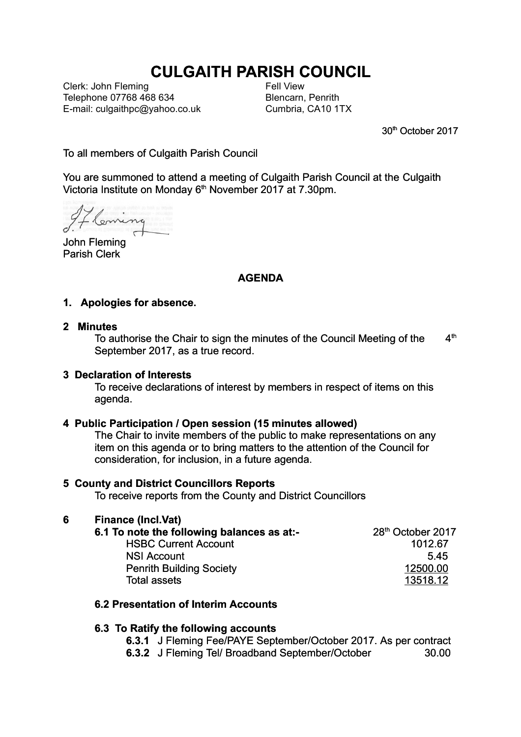# **CULGAITH PARISH COUNCIL**

Clerk: John Fleming Telephone 07768 468 634 E-mail: culgaithpc@yahoo.co.uk Fell View Blencarn, Penrith Cumbria, CA10 1TX

30th October 2017

To all members of Culgaith Parish Council

You are summoned to attend a meeting of Culgaith Parish Council at the Culgaith Victoria Institute on Monday  $6<sup>th</sup>$  November 2017 at 7.30pm.

Lleming

John Fleming Parish Clerk

## **AGENDA**

### **1. Apologies for absence.**

#### **2 Minutes**

To authorise the Chair to sign the minutes of the Council Meeting of the  $4<sup>th</sup>$ September 2017, as a true record.

#### **3 Declaration of Interests**

To receive declarations of interest by members in respect of items on this agenda.

#### **4 Public Participation / Open session (15 minutes allowed)**

The Chair to invite members of the public to make representations on any item on this agenda or to bring matters to the attention of the Council for consideration, for inclusion, in a future agenda.

#### **5 County and District Councillors Reports**

To receive reports from the County and District Councillors

### **6 Finance (Incl.Vat)**

| 6.1 To note the following balances as at:- | 28 <sup>th</sup> October 2017 |  |
|--------------------------------------------|-------------------------------|--|
| <b>HSBC Current Account</b>                | 1012.67                       |  |
| <b>NSI Account</b>                         | 545                           |  |
| <b>Penrith Building Society</b>            | 12500.00                      |  |
| Total assets                               | 13518.12                      |  |

#### **6.2 Presentation of Interim Accounts**

#### **6.3 To Ratify the following accounts**

**6.3.1** J Fleming Fee/PAYE September/October 2017. As per contract

**6.3.2** J Fleming Tel/ Broadband September/October 30.00